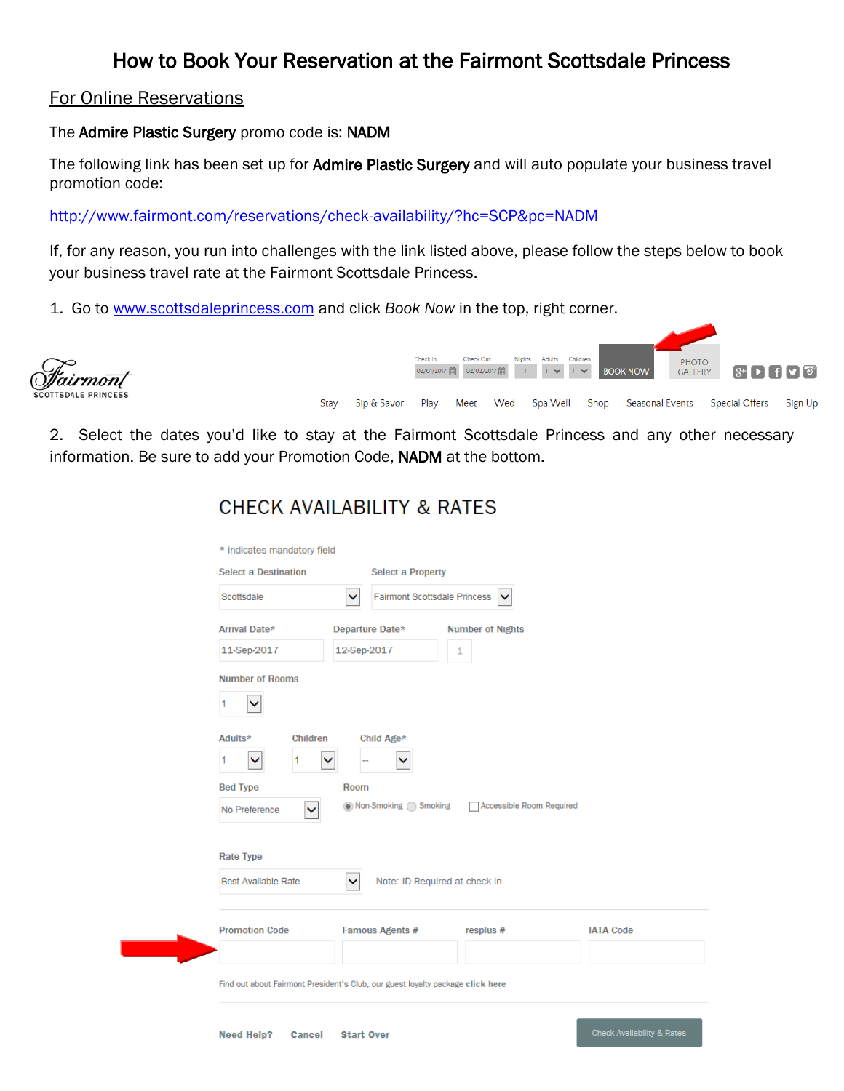## How to Book Your Reservation at the Fairmont Scottsdale Princess

#### For Online Reservations

The Admire Plastic Surgery promo code is: NADM

The following link has been set up for Admire Plastic Surgery and will auto populate your business travel promotion code:

<http://www.fairmont.com/reservations/check-availability/?hc=SCP&pc=NADM>

If, for any reason, you run into challenges with the link listed above, please follow the steps below to book your business travel rate at the Fairmont Scottsdale Princess.

1. Go to [www.scottsdaleprincess.com](http://www.scottsdaleprincess.com/) and click *Book Now* in the top, right corner.



2. Select the dates you'd like to stay at the Fairmont Scottsdale Princess and any other necessary information. Be sure to add your Promotion Code, NADM at the bottom.

| <b>Select a Destination</b>   | <b>Select a Property</b>                                                       |                          |                  |
|-------------------------------|--------------------------------------------------------------------------------|--------------------------|------------------|
| Scottsdale                    | <b>Fairmont Scottsdale Princess</b><br>×                                       | ▽                        |                  |
| Arrival Date*                 | Departure Date*                                                                | <b>Number of Nights</b>  |                  |
| 11-Sep-2017                   | 12-Sep-2017                                                                    | 1                        |                  |
| <b>Number of Rooms</b>        |                                                                                |                          |                  |
| ◡                             |                                                                                |                          |                  |
| <b>Children</b><br>Adults*    | Child Age*                                                                     |                          |                  |
| 1<br>▽<br>1                   | ▽                                                                              |                          |                  |
| <b>Bed Type</b>               | Room                                                                           |                          |                  |
| No Preference<br>$\checkmark$ | ● Non-Smoking ● Smoking                                                        | Accessible Room Required |                  |
|                               |                                                                                |                          |                  |
| <b>Rate Type</b>              |                                                                                |                          |                  |
| <b>Best Available Rate</b>    | Note: ID Required at check in<br>▽                                             |                          |                  |
| <b>Promotion Code</b>         | Famous Agents #                                                                | resplus #                | <b>IATA Code</b> |
|                               |                                                                                |                          |                  |
|                               | Find out about Fairmont President's Club, our guest loyalty package click here |                          |                  |
|                               |                                                                                |                          |                  |

# **CHECK AVAILABILITY & RATES**